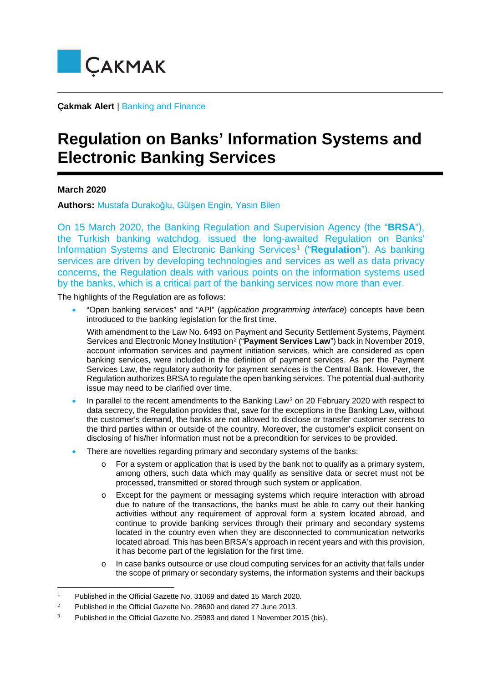

**Çakmak Alert** | Banking and Finance

## **Regulation on Banks' Information Systems and Electronic Banking Services**

**March 2020**

-

**Authors:** Mustafa Durakoğlu, Gülşen Engin, Yasin Bilen

On 15 March 2020, the Banking Regulation and Supervision Agency (the "**BRSA**"), the Turkish banking watchdog, issued the long-awaited Regulation on Banks' Information Systems and Electronic Banking Services<sup>[1](#page-0-0)</sup> ("**Regulation**"). As banking services are driven by developing technologies and services as well as data privacy concerns, the Regulation deals with various points on the information systems used by the banks, which is a critical part of the banking services now more than ever.

The highlights of the Regulation are as follows:

• "Open banking services" and "API" (*application programming interface*) concepts have been introduced to the banking legislation for the first time.

With amendment to the Law No. 6493 on Payment and Security Settlement Systems, Payment Services and Electronic Money Institution[2](#page-0-1) ("**Payment Services Law**") back in November 2019, account information services and payment initiation services, which are considered as open banking services, were included in the definition of payment services. As per the Payment Services Law, the regulatory authority for payment services is the Central Bank. However, the Regulation authorizes BRSA to regulate the open banking services. The potential dual-authority issue may need to be clarified over time.

- In parallel to the recent amendments to the Banking Law<sup>[3](#page-0-2)</sup> on 20 February 2020 with respect to data secrecy, the Regulation provides that, save for the exceptions in the Banking Law, without the customer's demand, the banks are not allowed to disclose or transfer customer secrets to the third parties within or outside of the country. Moreover, the customer's explicit consent on disclosing of his/her information must not be a precondition for services to be provided.
- There are novelties regarding primary and secondary systems of the banks:
	- $\circ$  For a system or application that is used by the bank not to qualify as a primary system, among others, such data which may qualify as sensitive data or secret must not be processed, transmitted or stored through such system or application.
	- o Except for the payment or messaging systems which require interaction with abroad due to nature of the transactions, the banks must be able to carry out their banking activities without any requirement of approval form a system located abroad, and continue to provide banking services through their primary and secondary systems located in the country even when they are disconnected to communication networks located abroad. This has been BRSA's approach in recent years and with this provision, it has become part of the legislation for the first time.
	- o In case banks outsource or use cloud computing services for an activity that falls under the scope of primary or secondary systems, the information systems and their backups

<span id="page-0-0"></span><sup>1</sup> Published in the Official Gazette No. 31069 and dated 15 March 2020.

<span id="page-0-1"></span><sup>&</sup>lt;sup>2</sup> Published in the Official Gazette No. 28690 and dated 27 June 2013.

<span id="page-0-2"></span> $3$  Published in the Official Gazette No. 25983 and dated 1 November 2015 (bis).